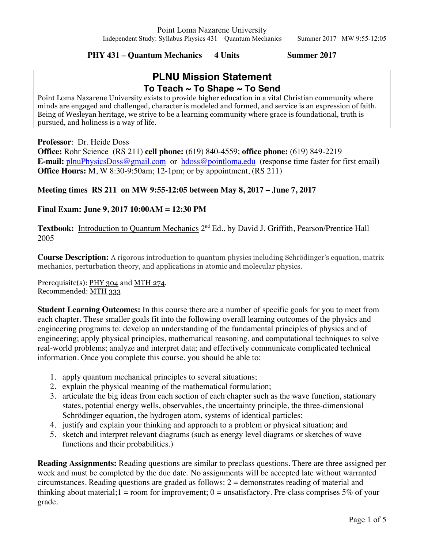**PHY 431 – Quantum Mechanics 4 Units Summer 2017**

# **PLNU Mission Statement To Teach ~ To Shape ~ To Send**

Point Loma Nazarene University exists to provide higher education in a vital Christian community where minds are engaged and challenged, character is modeled and formed, and service is an expression of faith. Being of Wesleyan heritage, we strive to be a learning community where grace is foundational, truth is pursued, and holiness is a way of life.

**Professor**: Dr. Heide Doss

**Office:** Rohr Science (RS 211) **cell phone:** (619) 840-4559; **office phone:** (619) 849-2219 **E-mail:** plnuPhysicsDoss@gmail.com or hdoss@pointloma.edu (response time faster for first email) **Office Hours:** M, W 8:30-9:50am; 12-1pm; or by appointment, (RS 211)

**Meeting times RS 211 on MW 9:55-12:05 between May 8, 2017 – June 7, 2017**

## **Final Exam: June 9, 2017 10:00AM = 12:30 PM**

Textbook: Introduction to Quantum Mechanics 2<sup>nd</sup> Ed., by David J. Griffith, Pearson/Prentice Hall 2005

**Course Description:** A rigorous introduction to quantum physics including Schrödinger's equation, matrix mechanics, perturbation theory, and applications in atomic and molecular physics.

Prerequisite(s): PHY 304 and MTH 274. Recommended: MTH 333

**Student Learning Outcomes:** In this course there are a number of specific goals for you to meet from each chapter. These smaller goals fit into the following overall learning outcomes of the physics and engineering programs to: develop an understanding of the fundamental principles of physics and of engineering; apply physical principles, mathematical reasoning, and computational techniques to solve real-world problems; analyze and interpret data; and effectively communicate complicated technical information. Once you complete this course, you should be able to:

- 1. apply quantum mechanical principles to several situations;
- 2. explain the physical meaning of the mathematical formulation;
- 3. articulate the big ideas from each section of each chapter such as the wave function, stationary states, potential energy wells, observables, the uncertainty principle, the three-dimensional Schrödinger equation, the hydrogen atom, systems of identical particles;
- 4. justify and explain your thinking and approach to a problem or physical situation; and
- 5. sketch and interpret relevant diagrams (such as energy level diagrams or sketches of wave functions and their probabilities.)

**Reading Assignments:** Reading questions are similar to preclass questions. There are three assigned per week and must be completed by the due date. No assignments will be accepted late without warranted circumstances. Reading questions are graded as follows:  $2 =$  demonstrates reading of material and thinking about material;  $1 =$  room for improvement;  $0 =$  unsatisfactory. Pre-class comprises 5% of your grade.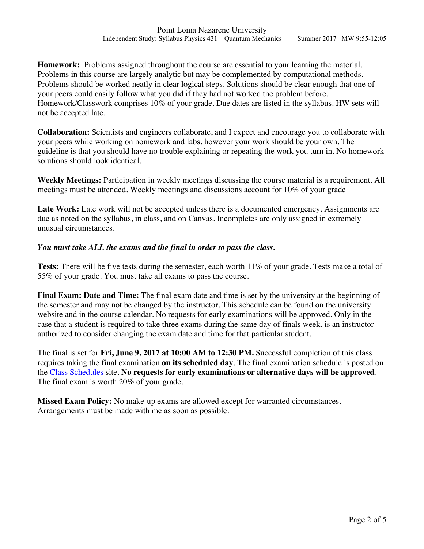**Homework:** Problems assigned throughout the course are essential to your learning the material. Problems in this course are largely analytic but may be complemented by computational methods. Problems should be worked neatly in clear logical steps. Solutions should be clear enough that one of your peers could easily follow what you did if they had not worked the problem before. Homework/Classwork comprises 10% of your grade. Due dates are listed in the syllabus. HW sets will not be accepted late.

**Collaboration:** Scientists and engineers collaborate, and I expect and encourage you to collaborate with your peers while working on homework and labs, however your work should be your own. The guideline is that you should have no trouble explaining or repeating the work you turn in. No homework solutions should look identical.

**Weekly Meetings:** Participation in weekly meetings discussing the course material is a requirement. All meetings must be attended. Weekly meetings and discussions account for 10% of your grade

Late Work: Late work will not be accepted unless there is a documented emergency. Assignments are due as noted on the syllabus, in class, and on Canvas. Incompletes are only assigned in extremely unusual circumstances.

### *You must take ALL the exams and the final in order to pass the class***.**

**Tests:** There will be five tests during the semester, each worth 11% of your grade. Tests make a total of 55% of your grade. You must take all exams to pass the course.

**Final Exam: Date and Time:** The final exam date and time is set by the university at the beginning of the semester and may not be changed by the instructor. This schedule can be found on the university website and in the course calendar. No requests for early examinations will be approved. Only in the case that a student is required to take three exams during the same day of finals week, is an instructor authorized to consider changing the exam date and time for that particular student.

The final is set for **Fri, June 9, 2017 at 10:00 AM to 12:30 PM.** Successful completion of this class requires taking the final examination **on its scheduled day**. The final examination schedule is posted on the Class Schedules site. **No requests for early examinations or alternative days will be approved**. The final exam is worth 20% of your grade.

**Missed Exam Policy:** No make-up exams are allowed except for warranted circumstances. Arrangements must be made with me as soon as possible.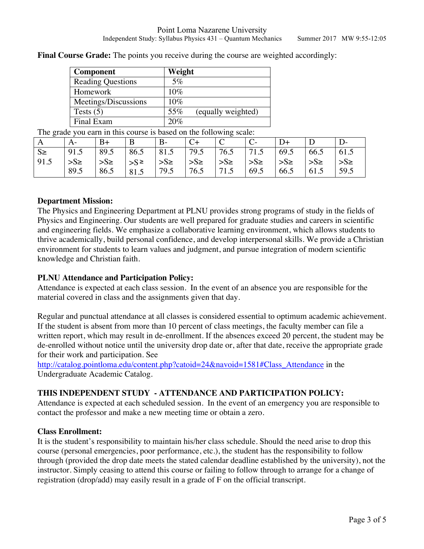| Component                | Weight                    |
|--------------------------|---------------------------|
| <b>Reading Questions</b> | $5\%$                     |
| Homework                 | 10%                       |
| Meetings/Discussions     | 10%                       |
| Tests $(5)$              | 55%<br>(equally weighted) |
| Final Exam               | 20%                       |

**Final Course Grade:** The points you receive during the course are weighted accordingly:

The grade you earn in this course is based on the following scale:

| A       |              | $B+$                                                                                    | $\mathbf{B}$ | $\vert B - \vert$ | $C+$ |      |      | $D+$ |         |                     |
|---------|--------------|-----------------------------------------------------------------------------------------|--------------|-------------------|------|------|------|------|---------|---------------------|
| $S \ge$ | 91.5         | 89.5                                                                                    |              |                   |      |      |      |      | 66.5    | 61.5                |
| 191.5   | $\sum S \ge$ | $ S_{\ge}$ $ S_{\ge}$ $ S_{\ge}$ $ S_{\ge}$ $ S_{\ge}$ $ S_{\ge}$ $ S_{\ge}$ $ S_{\ge}$ |              |                   |      |      |      |      | $>S\ge$ | $\mathsf{S}_{\geq}$ |
|         | 89.5         | 86.5                                                                                    | 81.5         | 79.5              | 76.5 | 71.5 | 69.5 | 66.5 | 61.5    | 59.5                |

#### **Department Mission:**

The Physics and Engineering Department at PLNU provides strong programs of study in the fields of Physics and Engineering. Our students are well prepared for graduate studies and careers in scientific and engineering fields. We emphasize a collaborative learning environment, which allows students to thrive academically, build personal confidence, and develop interpersonal skills. We provide a Christian environment for students to learn values and judgment, and pursue integration of modern scientific knowledge and Christian faith.

## **PLNU Attendance and Participation Policy:**

Attendance is expected at each class session. In the event of an absence you are responsible for the material covered in class and the assignments given that day.

Regular and punctual attendance at all classes is considered essential to optimum academic achievement. If the student is absent from more than 10 percent of class meetings, the faculty member can file a written report, which may result in de-enrollment. If the absences exceed 20 percent, the student may be de-enrolled without notice until the university drop date or, after that date, receive the appropriate grade for their work and participation. See

http://catalog.pointloma.edu/content.php?catoid=24&navoid=1581#Class\_Attendance in the Undergraduate Academic Catalog.

## **THIS INDEPENDENT STUDY - ATTENDANCE AND PARTICIPATION POLICY:**

Attendance is expected at each scheduled session. In the event of an emergency you are responsible to contact the professor and make a new meeting time or obtain a zero.

#### **Class Enrollment:**

It is the student's responsibility to maintain his/her class schedule. Should the need arise to drop this course (personal emergencies, poor performance, etc.), the student has the responsibility to follow through (provided the drop date meets the stated calendar deadline established by the university), not the instructor. Simply ceasing to attend this course or failing to follow through to arrange for a change of registration (drop/add) may easily result in a grade of F on the official transcript.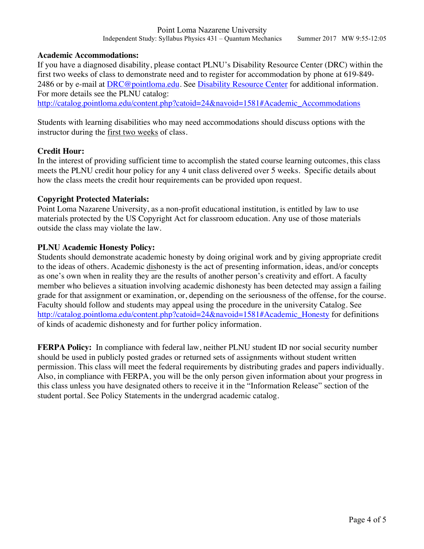#### **Academic Accommodations:**

If you have a diagnosed disability, please contact PLNU's Disability Resource Center (DRC) within the first two weeks of class to demonstrate need and to register for accommodation by phone at 619-849- 2486 or by e-mail at DRC@pointloma.edu. See Disability Resource Center for additional information. For more details see the PLNU catalog:

http://catalog.pointloma.edu/content.php?catoid=24&navoid=1581#Academic\_Accommodations

Students with learning disabilities who may need accommodations should discuss options with the instructor during the first two weeks of class.

#### **Credit Hour:**

In the interest of providing sufficient time to accomplish the stated course learning outcomes, this class meets the PLNU credit hour policy for any 4 unit class delivered over 5 weeks. Specific details about how the class meets the credit hour requirements can be provided upon request.

#### **Copyright Protected Materials:**

Point Loma Nazarene University, as a non-profit educational institution, is entitled by law to use materials protected by the US Copyright Act for classroom education. Any use of those materials outside the class may violate the law.

#### **PLNU Academic Honesty Policy:**

Students should demonstrate academic honesty by doing original work and by giving appropriate credit to the ideas of others. Academic dishonesty is the act of presenting information, ideas, and/or concepts as one's own when in reality they are the results of another person's creativity and effort. A faculty member who believes a situation involving academic dishonesty has been detected may assign a failing grade for that assignment or examination, or, depending on the seriousness of the offense, for the course. Faculty should follow and students may appeal using the procedure in the university Catalog. See http://catalog.pointloma.edu/content.php?catoid=24&navoid=1581#Academic\_Honesty for definitions of kinds of academic dishonesty and for further policy information.

**FERPA Policy:** In compliance with federal law, neither PLNU student ID nor social security number should be used in publicly posted grades or returned sets of assignments without student written permission. This class will meet the federal requirements by distributing grades and papers individually. Also, in compliance with FERPA, you will be the only person given information about your progress in this class unless you have designated others to receive it in the "Information Release" section of the student portal. See Policy Statements in the undergrad academic catalog.